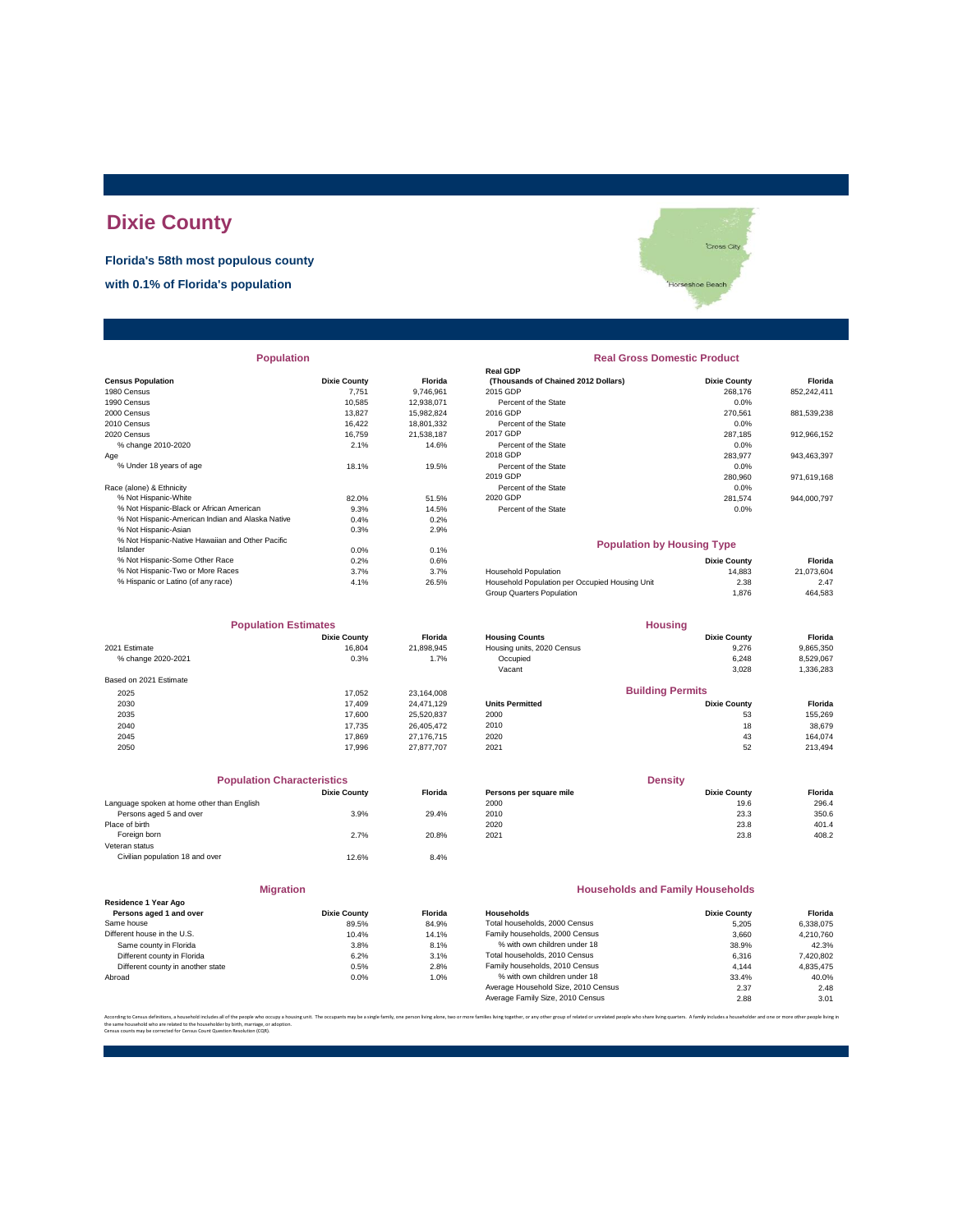### **Dixie County**

**Florida's 58th most populous county**

**with 0.1% of Florida's population**

**Population Real Gross Domestic Product** 

|                                                  |                     |            | Real GDP                                       |                     |             |
|--------------------------------------------------|---------------------|------------|------------------------------------------------|---------------------|-------------|
| <b>Census Population</b>                         | <b>Dixie County</b> | Florida    | (Thousands of Chained 2012 Dollars)            | <b>Dixie County</b> | Florida     |
| 1980 Census                                      | 7.751               | 9,746,961  | 2015 GDP                                       | 268,176             | 852,242,411 |
| 1990 Census                                      | 10,585              | 12,938,071 | Percent of the State                           | 0.0%                |             |
| 2000 Census                                      | 13.827              | 15,982,824 | 2016 GDP                                       | 270.561             | 881,539,238 |
| 2010 Census                                      | 16.422              | 18,801,332 | Percent of the State                           | 0.0%                |             |
| 2020 Census                                      | 16.759              | 21,538,187 | 2017 GDP                                       | 287,185             | 912,966,152 |
| % change 2010-2020                               | 2.1%                | 14.6%      | Percent of the State                           | 0.0%                |             |
| Age                                              |                     |            | 2018 GDP                                       | 283,977             | 943,463,397 |
| % Under 18 years of age                          | 18.1%               | 19.5%      | Percent of the State                           | 0.0%                |             |
|                                                  |                     |            | 2019 GDP                                       | 280,960             | 971,619,168 |
| Race (alone) & Ethnicity                         |                     |            | Percent of the State                           | 0.0%                |             |
| % Not Hispanic-White                             | 82.0%               | 51.5%      | 2020 GDP                                       | 281,574             | 944,000,797 |
| % Not Hispanic-Black or African American         | 9.3%                | 14.5%      | Percent of the State                           | 0.0%                |             |
| % Not Hispanic-American Indian and Alaska Native | 0.4%                | 0.2%       |                                                |                     |             |
| % Not Hispanic-Asian                             | 0.3%                | 2.9%       |                                                |                     |             |
| % Not Hispanic-Native Hawaiian and Other Pacific |                     |            | <b>Population by Housing Type</b>              |                     |             |
| Islander                                         | 0.0%                | 0.1%       |                                                |                     |             |
| % Not Hispanic-Some Other Race                   | 0.2%                | 0.6%       |                                                | <b>Dixie County</b> | Florida     |
| % Not Hispanic-Two or More Races                 | 3.7%                | 3.7%       | <b>Household Population</b>                    | 14,883              | 21,073,604  |
| % Hispanic or Latino (of any race)               | 4.1%                | 26.5%      | Household Population per Occupied Housing Unit | 2.38                | 2.47        |
|                                                  |                     |            |                                                |                     |             |

| <b>Population Estimates</b> |                     |                | <b>Housing</b>             |                         |           |
|-----------------------------|---------------------|----------------|----------------------------|-------------------------|-----------|
|                             | <b>Dixie County</b> | <b>Florida</b> | <b>Housing Counts</b>      | <b>Dixie County</b>     | Florida   |
| 2021 Estimate               | 16,804              | 21,898,945     | Housing units, 2020 Census | 9,276                   | 9,865,350 |
| % change 2020-2021          | 0.3%                | 1.7%           | Occupied                   | 6,248                   | 8,529,067 |
|                             |                     |                | Vacant                     | 3,028                   | 1,336,283 |
| Based on 2021 Estimate      |                     |                |                            |                         |           |
| 2025                        | 17.052              | 23.164.008     |                            | <b>Building Permits</b> |           |
| 2030                        | 17,409              | 24.471.129     | <b>Units Permitted</b>     | <b>Dixie County</b>     | Florida   |
| 2035                        | 17,600              | 25,520,837     | 2000                       | 53                      | 155,269   |
| 2040                        | 17.735              | 26.405.472     | 2010                       | 18                      | 38,679    |
| 2045                        | 17,869              | 27.176.715     | 2020                       | 43                      | 164.074   |
| 2050                        | 17,996              | 27.877.707     | 2021                       | 52                      | 213,494   |

|                                            | <b>Population Characteristics</b> |                |
|--------------------------------------------|-----------------------------------|----------------|
|                                            | <b>Dixie County</b>               | <b>Florida</b> |
| Language spoken at home other than English |                                   |                |
| Persons aged 5 and over                    | 3.9%                              | 29.4%          |
| Place of birth                             |                                   |                |
| Foreign born                               | 2.7%                              | 20.8%          |
| Veteran status                             |                                   |                |
| Civilian population 18 and over            | 12.6%                             | 8.4%           |
|                                            |                                   |                |

|                                                 | <b>Migration</b>    |        |
|-------------------------------------------------|---------------------|--------|
| Residence 1 Year Ago<br>Persons aged 1 and over | <b>Dixie County</b> | Florio |
| Same house                                      | 89.5%               | 84.9   |
| Different house in the U.S.                     | 10.4%               | 14.1   |
| Same county in Florida                          | 3.8%                | 8.1    |
| Different county in Florida                     | 6.2%                | 3.1    |
| Different county in another state               | 0.5%                | 2.8    |
| Abroad                                          | 0.0%                | 1.0    |

## **Cross City** shoe Beacl

# **Real GDP** Percent of the State 0.0%

#### **Population by Housing Type**

| % Not Hispanic-Some Other Race     | 0.2% | 0.6%  |                                                | <b>Dixie County</b> | Florida    |
|------------------------------------|------|-------|------------------------------------------------|---------------------|------------|
| % Not Hispanic-Two or More Races   | 3.7% | 3.7%  | <b>Household Population</b>                    | 14.883              | 21.073.604 |
| % Hispanic or Latino (of any race) | 4.1% | 26.5% | Household Population per Occupied Housing Unit | 2.38                | 2.47       |
|                                    |      |       | Group Quarters Population                      | 1.876               | 464,583    |
|                                    |      |       |                                                |                     |            |

| <b>Population Estimates</b> |                     |                | <b>Housing</b>             |                         |                |
|-----------------------------|---------------------|----------------|----------------------------|-------------------------|----------------|
|                             | <b>Dixie County</b> | <b>Florida</b> | <b>Housing Counts</b>      | <b>Dixie County</b>     | Florida        |
| 2021 Estimate               | 16.804              | 21.898.945     | Housing units, 2020 Census | 9.276                   | 9,865,350      |
| % change 2020-2021          | 0.3%                | 1.7%           | Occupied                   | 6.248                   | 8,529,067      |
|                             |                     |                | Vacant                     | 3.028                   | 1,336,283      |
| Based on 2021 Estimate      |                     |                |                            |                         |                |
| 2025                        | 17.052              | 23.164.008     |                            | <b>Building Permits</b> |                |
| 2030                        | 17,409              | 24.471.129     | <b>Units Permitted</b>     | <b>Dixie County</b>     | <b>Florida</b> |
| 2035                        | 17,600              | 25.520.837     | 2000                       | 53                      | 155.269        |
| 2040                        | 17.735              | 26.405.472     | 2010                       | 18                      | 38.679         |

| <b>Population Characteristics</b>          |                     |                | <b>Density</b>          |                     |         |
|--------------------------------------------|---------------------|----------------|-------------------------|---------------------|---------|
|                                            | <b>Dixie County</b> | <b>Florida</b> | Persons per square mile | <b>Dixie County</b> | Florida |
| Language spoken at home other than English |                     |                | 2000                    | 19.6                | 296.4   |
| Persons aged 5 and over                    | 3.9%                | 29.4%          | 2010                    | 23.3                | 350.6   |
| Place of birth                             |                     |                | 2020                    | 23.8                | 401.4   |
| Foreign born                               | 2.7%                | 20.8%          | 2021                    | 23.8                | 408.2   |

#### **Households and Family Households**

| Residence 1 Year Ago              |                     |                |                                     |                     |           |
|-----------------------------------|---------------------|----------------|-------------------------------------|---------------------|-----------|
| Persons aged 1 and over           | <b>Dixie County</b> | <b>Florida</b> | Households                          | <b>Dixie County</b> | Florida   |
| Same house                        | 89.5%               | 84.9%          | Total households, 2000 Census       | 5.205               | 6.338.075 |
| Different house in the U.S.       | 10.4%               | 14.1%          | Family households, 2000 Census      | 3.660               | 4.210.760 |
| Same county in Florida            | 3.8%                | 8.1%           | % with own children under 18        | 38.9%               | 42.3%     |
| Different county in Florida       | 6.2%                | 3.1%           | Total households, 2010 Census       | 6.316               | 7,420,802 |
| Different county in another state | 0.5%                | 2.8%           | Family households, 2010 Census      | 4.144               | 4.835.475 |
| Abroad                            | 0.0%                | 1.0%           | % with own children under 18        | 33.4%               | 40.0%     |
|                                   |                     |                | Average Household Size, 2010 Census | 2.37                | 2.48      |
|                                   |                     |                | Average Family Size, 2010 Census    | 2.88                | 3.01      |
|                                   |                     |                |                                     |                     |           |

ber, or any other group of related or uprelated people who share living quarters. A family includes a bousebolder and one or the same household who are related to the householder by birth, marriage, or adoption. Census counts may be corrected for Census Count Question Resolution (CQR).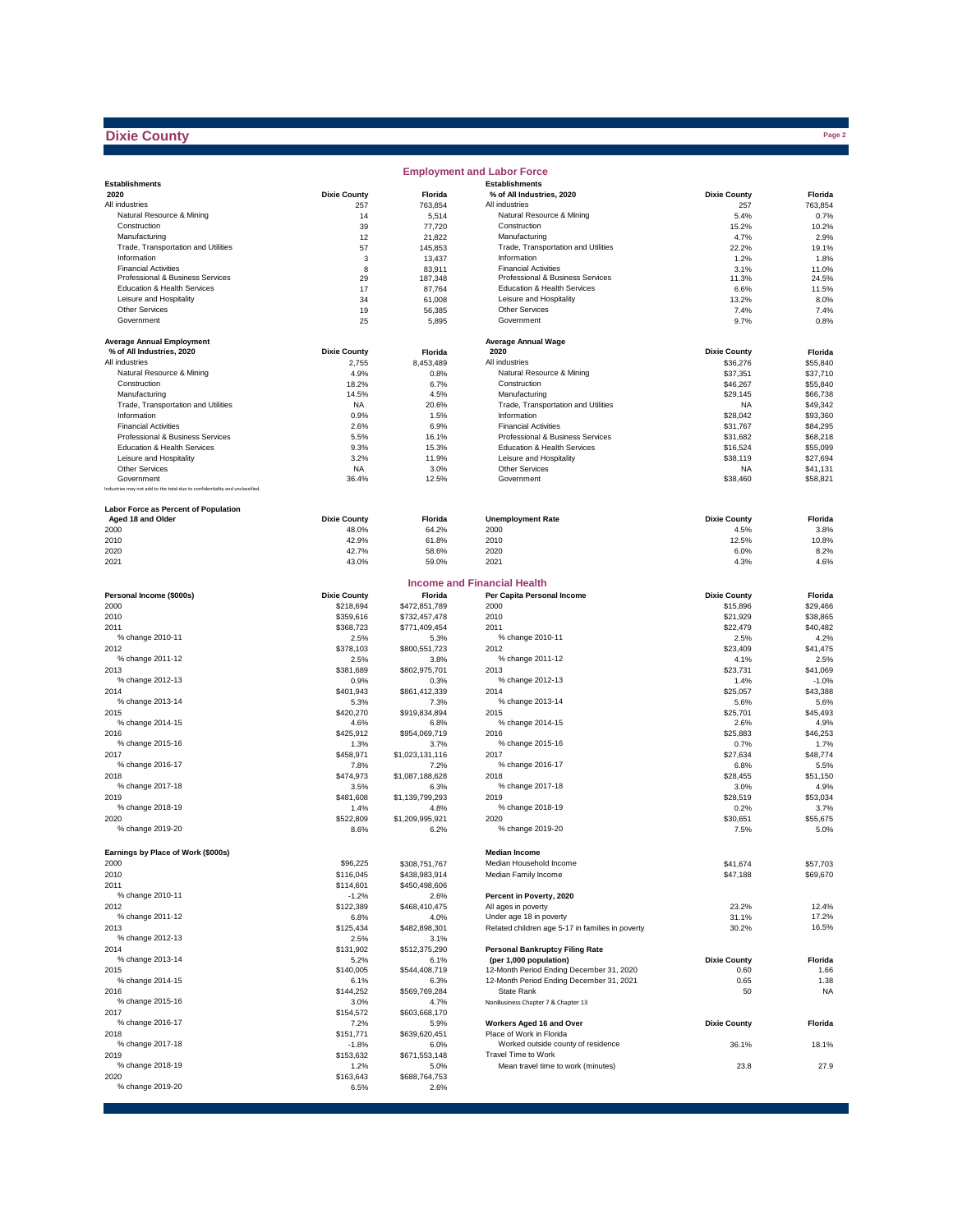#### **Dixie County**

|                                                                              |                     |                   | <b>Employment and Labor Force</b>                  |                     |                |
|------------------------------------------------------------------------------|---------------------|-------------------|----------------------------------------------------|---------------------|----------------|
| <b>Establishments</b>                                                        |                     |                   | <b>Establishments</b>                              |                     |                |
| 2020                                                                         | <b>Dixie County</b> | Florida           | % of All Industries, 2020                          | <b>Dixie County</b> | Florida        |
| All industries                                                               | 257                 | 763,854           | All industries                                     | 257                 | 763,854        |
| Natural Resource & Mining                                                    | 14                  | 5,514             | Natural Resource & Mining                          | 5.4%                | 0.7%           |
| Construction                                                                 | 39                  | 77,720            | Construction                                       | 15.2%               | 10.2%          |
| Manufacturing                                                                | 12                  | 21,822            | Manufacturing                                      | 4.7%                | 2.9%           |
| Trade, Transportation and Utilities<br>Information                           | 57                  | 145,853           | Trade, Transportation and Utilities<br>Information | 22.2%               | 19.1%          |
| <b>Financial Activities</b>                                                  | 3                   | 13,437            | <b>Financial Activities</b>                        | 1.2%                | 1.8%           |
| Professional & Business Services                                             | 8<br>29             | 83,911<br>187,348 | Professional & Business Services                   | 3.1%<br>11.3%       | 11.0%<br>24.5% |
| Education & Health Services                                                  | 17                  | 87,764            | Education & Health Services                        | 6.6%                | 11.5%          |
| Leisure and Hospitality                                                      | 34                  | 61,008            | Leisure and Hospitality                            | 13.2%               | 8.0%           |
| Other Services                                                               | 19                  | 56,385            | Other Services                                     | 7.4%                | 7.4%           |
| Government                                                                   | 25                  | 5,895             | Government                                         | 9.7%                | 0.8%           |
|                                                                              |                     |                   |                                                    |                     |                |
| <b>Average Annual Employment</b>                                             |                     |                   | <b>Average Annual Wage</b>                         |                     |                |
| % of All Industries, 2020                                                    | <b>Dixie County</b> | Florida           | 2020                                               | <b>Dixie County</b> | Florida        |
| All industries                                                               | 2,755               | 8.453.489         | All industries                                     | \$36,276            | \$55,840       |
| Natural Resource & Mining                                                    | 4.9%                | 0.8%              | Natural Resource & Mining                          | \$37,351            | \$37,710       |
| Construction                                                                 | 18.2%               | 6.7%              | Construction                                       | \$46,267            | \$55,840       |
| Manufacturing                                                                | 14.5%               | 4.5%              | Manufacturing                                      | \$29,145            | \$66,738       |
| Trade, Transportation and Utilities                                          | <b>NA</b>           | 20.6%             | Trade, Transportation and Utilities                | <b>NA</b>           | \$49,342       |
| Information                                                                  | 0.9%                | 1.5%              | Information                                        | \$28,042            | \$93,360       |
| <b>Financial Activities</b>                                                  | 2.6%                | 6.9%              | <b>Financial Activities</b>                        | \$31,767            | \$84,295       |
| Professional & Business Services                                             | 5.5%                | 16.1%             | Professional & Business Services                   | \$31,682            | \$68,218       |
| Education & Health Services                                                  | 9.3%                | 15.3%             | Education & Health Services                        | \$16,524            | \$55,099       |
| Leisure and Hospitality                                                      | 3.2%                | 11.9%             | Leisure and Hospitality                            | \$38,119            | \$27,694       |
| Other Services                                                               | <b>NA</b>           | 3.0%              | Other Services                                     | <b>NA</b>           | \$41,131       |
| Government                                                                   | 36.4%               | 12.5%             | Government                                         | \$38,460            | \$58,821       |
| Industries may not add to the total due to confidentiality and unclassified. |                     |                   |                                                    |                     |                |
|                                                                              |                     |                   |                                                    |                     |                |
| Labor Force as Percent of Population                                         |                     |                   |                                                    |                     |                |
| Aged 18 and Older                                                            | <b>Dixie County</b> | Florida           | <b>Unemployment Rate</b>                           | <b>Dixie County</b> | Florida        |
| 2000                                                                         | 48.0%               | 64.2%             | 2000                                               | 4.5%                | 3.8%           |
| 2010                                                                         | 42.9%               | 61.8%             | 2010                                               | 12.5%               | 10.8%          |
| 2020                                                                         | 42.7%               | 58.6%             | 2020                                               | 6.0%                | 8.2%           |
| 2021                                                                         | 43.0%               | 59.0%             | 2021                                               | 4.3%                | 4.6%           |
|                                                                              |                     |                   |                                                    |                     |                |
|                                                                              |                     |                   | <b>Income and Financial Health</b>                 |                     |                |
| Personal Income (\$000s)                                                     | <b>Dixie County</b> | Florida           | Per Capita Personal Income                         | <b>Dixie County</b> | Florida        |
| 2000                                                                         | \$218,694           | \$472,851,789     | 2000                                               | \$15,896            | \$29,466       |
| 2010                                                                         | \$359,616           | \$732,457,478     | 2010                                               | \$21,929            | \$38,865       |
| 2011                                                                         | \$368,723           | \$771,409,454     | 2011                                               | \$22,479            | \$40,482       |
| % change 2010-11                                                             | 2.5%                | 5.3%              | % change 2010-11                                   | 2.5%                | 4.2%           |
| 2012                                                                         | \$378,103           | \$800,551,723     | 2012                                               | \$23,409            | \$41,475       |
| % change 2011-12                                                             | 2.5%                | 3.8%              | % change 2011-12                                   | 4.1%                | 2.5%           |
| 2013                                                                         | \$381,689           | \$802,975,701     | 2013                                               | \$23,731            | \$41,069       |
| % change 2012-13                                                             | 0.9%                | 0.3%              | % change 2012-13                                   | 1.4%                | $-1.0%$        |
| 2014                                                                         | \$401,943           | \$861,412,339     | 2014                                               | \$25,057            | \$43,388       |
| % change 2013-14                                                             | 5.3%                | 7.3%              | % change 2013-14                                   | 5.6%                | 5.6%           |
| 2015                                                                         | \$420,270           | \$919,834,894     | 2015                                               | \$25,701            | \$45,493       |
| % change 2014-15                                                             | 4.6%                | 6.8%              | % change 2014-15                                   | 2.6%                | 4.9%           |
| 2016                                                                         | \$425,912           | \$954,069,719     | 2016                                               | \$25,883            | \$46,253       |
| % change 2015-16                                                             | 1.3%                | 3.7%              | % change 2015-16                                   | 0.7%                | 1.7%           |
| 2017                                                                         | \$458,971           | \$1,023,131,116   | 2017                                               | \$27,634            | \$48,774       |
| % change 2016-17                                                             | 7.8%                | 7.2%              | % change 2016-17                                   | 6.8%                | 5.5%           |
| 2018                                                                         | \$474,973           | \$1,087,188,628   | 2018                                               | \$28,455            | \$51,150       |
| % change 2017-18                                                             | 3.5%                | 6.3%              | % change 2017-18                                   | 3.0%                | 4.9%           |
| 2019                                                                         | \$481,608           | \$1,139,799,293   | 2019                                               | \$28,519            | \$53,034       |
| % change 2018-19                                                             | 1.4%                | 4.8%              | % change 2018-19                                   | 0.2%                | 3.7%           |
| 2020                                                                         | \$522,809           | \$1,209,995,921   | 2020                                               | \$30,651            | \$55,675       |
| % change 2019-20                                                             | 8.6%                | 6.2%              | % change 2019-20                                   | 7.5%                | 5.0%           |
|                                                                              |                     |                   |                                                    |                     |                |
| Earnings by Place of Work (\$000s)                                           |                     |                   | <b>Median Income</b>                               |                     |                |
| 2000                                                                         | \$96,225            | \$308,751,767     | Median Household Income                            | \$41,674            | \$57,703       |
| 2010                                                                         | \$116,045           | \$438,983,914     | Median Family Income                               | \$47,188            | \$69,670       |
| 2011                                                                         | \$114,601           | \$450,498,606     |                                                    |                     |                |
| % change 2010-11                                                             | $-1.2%$             | 2.6%              | Percent in Poverty, 2020                           |                     |                |
| 2012                                                                         | \$122,389           | \$468,410,475     | All ages in poverty                                | 23.2%               | 12.4%          |
| % change 2011-12                                                             | 6.8%                | 4.0%              | Under age 18 in poverty                            | 31.1%               | 17.2%          |
| 2013                                                                         | \$125,434           | \$482,898,301     | Related children age 5-17 in families in poverty   | 30.2%               | 16.5%          |
| % change 2012-13                                                             | 2.5%                | 3.1%              |                                                    |                     |                |
| 2014                                                                         | \$131,902           | \$512,375,290     | <b>Personal Bankruptcy Filing Rate</b>             |                     |                |
| % change 2013-14                                                             | 5.2%                | 6.1%              | (per 1,000 population)                             | <b>Dixie County</b> | Florida        |
| 2015                                                                         | \$140,005           | \$544,408,719     | 12-Month Period Ending December 31, 2020           | 0.60                | 1.66           |
| % change 2014-15                                                             | 6.1%                | 6.3%              | 12-Month Period Ending December 31, 2021           | 0.65                | 1.38           |
| 2016                                                                         | \$144,252           | \$569,769,284     | State Rank                                         | 50                  | <b>NA</b>      |
| % change 2015-16                                                             | 3.0%                | 4.7%              | NonBusiness Chapter 7 & Chapter 13                 |                     |                |
| 2017                                                                         | \$154,572           | \$603,668,170     |                                                    |                     |                |
| % change 2016-17                                                             | 7.2%                | 5.9%              | Workers Aged 16 and Over                           | <b>Dixie County</b> | Florida        |
| 2018                                                                         | \$151,771           | \$639,620,451     | Place of Work in Florida                           |                     |                |
| % change 2017-18                                                             | $-1.8%$             | 6.0%              | Worked outside county of residence                 | 36.1%               | 18.1%          |
| 2019                                                                         | \$153,632           | \$671,553,148     | Travel Time to Work                                |                     |                |
| % change 2018-19                                                             | 1.2%                | 5.0%              | Mean travel time to work (minutes)                 | 23.8                | 27.9           |
| 2020                                                                         | \$163,643           | \$688,764,753     |                                                    |                     |                |
| % change 2019-20                                                             | 6.5%                | 2.6%              |                                                    |                     |                |